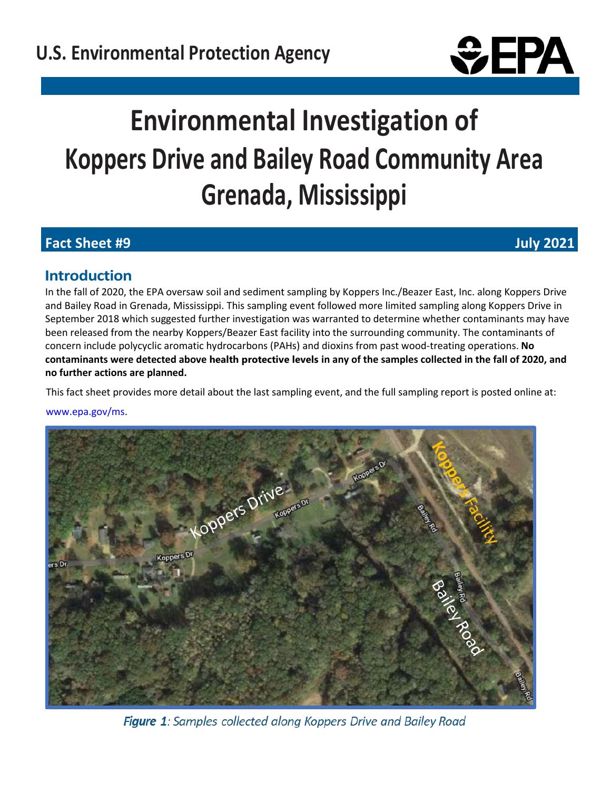

# **Environmental Investigation of Koppers Drive and Bailey Road Community Area Grenada, Mississippi**

# **Fact Sheet #9 July 2021**

# **Introduction**

In the fall of 2020, the EPA oversaw soil and sediment sampling by Koppers Inc./Beazer East, Inc. along Koppers Drive and Bailey Road in Grenada, Mississippi. This sampling event followed more limited sampling along Koppers Drive in September 2018 which suggested further investigation was warranted to determine whether contaminants may have been released from the nearby Koppers/Beazer East facility into the surrounding community. The contaminants of concern include polycyclic aromatic hydrocarbons (PAHs) and dioxins from past wood-treating operations. **No contaminants were detected above health protective levels in any of the samples collected in the fall of 2020, and no further actions are planned.**

This fact sheet provides more detail about the last sampling event, and the full sampling report is posted online at:

www.epa.gov/ms.



Figure 1: Samples collected along Koppers Drive and Bailey Road